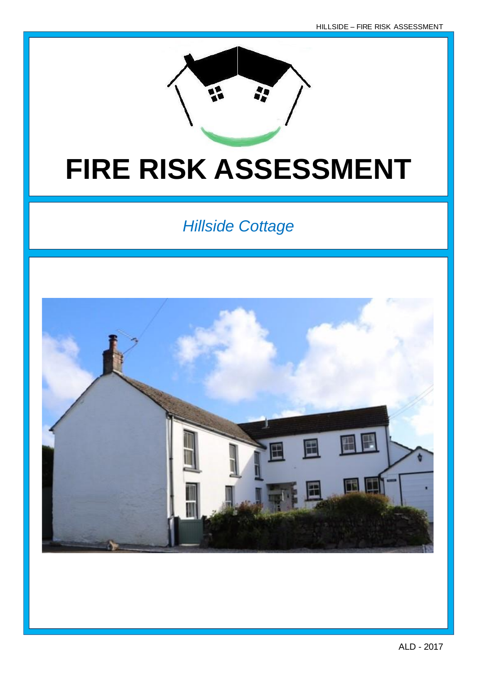

# **FIRE RISK ASSESSMENT**

## *Hillside Cottage*

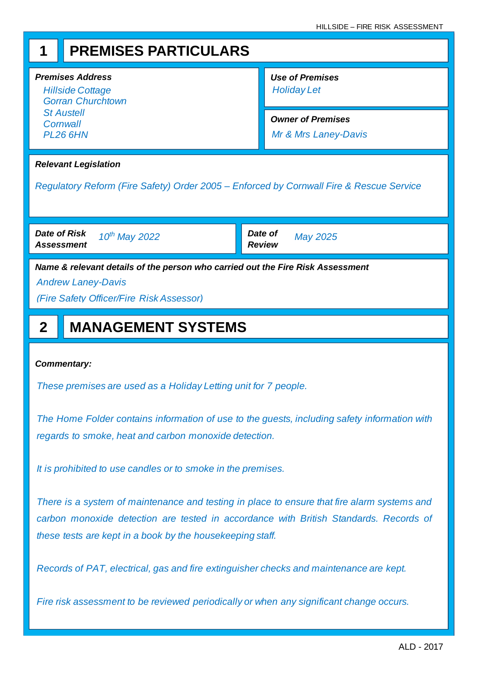# **1 PREMISES PARTICULARS**

### **Premises Address Use of Premises Address Use of Premises**

*Hillside Cottage Gorran Churchtown St Austell Cornwall PL26 6HN*

*Holiday Let*

*Owner of Premises Mr & Mrs Laney-Davis*

### *Relevant Legislation*

*Regulatory Reform (Fire Safety) Order 2005 – Enforced by Cornwall Fire & Rescue Service*

*Date of Risk Assessment 10th May 2022* *Date of Review*

*May 2025*

*Name & relevant details of the person who carried out the Fire Risk Assessment*

*Andrew Laney-Davis*

*(Fire Safety Officer/Fire Risk Assessor)*

### **2 MANAGEMENT SYSTEMS**

#### *Commentary:*

*These premises are used as a Holiday Letting unit for 7 people.*

*The Home Folder contains information of use to the guests, including safety information with regards to smoke, heat and carbon monoxide detection.* 

*It is prohibited to use candles or to smoke in the premises.*

*There is a system of maintenance and testing in place to ensure that fire alarm systems and carbon monoxide detection are tested in accordance with British Standards. Records of these tests are kept in a book by the housekeeping staff.*

*Records of PAT, electrical, gas and fire extinguisher checks and maintenance are kept.* 

*Fire risk assessment to be reviewed periodically or when any significant change occurs.*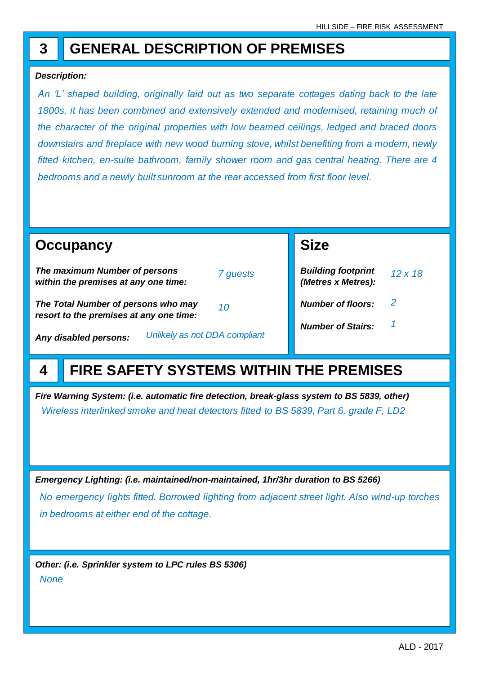### **3 GENERAL DESCRIPTION OF PREMISES**

### *Description:*

*An 'L' shaped building, originally laid out as two separate cottages dating back to the late 1800s, it has been combined and extensively extended and modernised, retaining much of the character of the original properties with low beamed ceilings, ledged and braced doors downstairs and fireplace with new wood burning stove, whilst benefiting from a modern, newly fitted kitchen, en-suite bathroom, family shower room and gas central heating. There are 4 bedrooms and a newly built sunroom at the rear accessed from first floor level.*

| <b>Occupancy</b>                                                                     | <b>Size</b>                                                       |
|--------------------------------------------------------------------------------------|-------------------------------------------------------------------|
| The maximum Number of persons<br>7 quests<br>within the premises at any one time:    | <b>Building footprint</b><br>$12 \times 18$<br>(Metres x Metres): |
| The Total Number of persons who may<br>10<br>resort to the premises at any one time: | 2<br><b>Number of floors:</b>                                     |
| Unlikely as not DDA compliant<br>Any disabled persons:                               | <b>Number of Stairs:</b>                                          |

### **4 FIRE SAFETY SYSTEMS WITHIN THE PREMISES**

*Fire Warning System: (i.e. automatic fire detection, break-glass system to BS 5839, other) Wireless interlinked smoke and heat detectors fitted to BS 5839, Part 6, grade F, LD2*

*Emergency Lighting: (i.e. maintained/non-maintained, 1hr/3hr duration to BS 5266)*

*No emergency lights fitted. Borrowed lighting from adjacent street light. Also wind-up torches in bedrooms at either end of the cottage.*

*Other: (i.e. Sprinkler system to LPC rules BS 5306) None*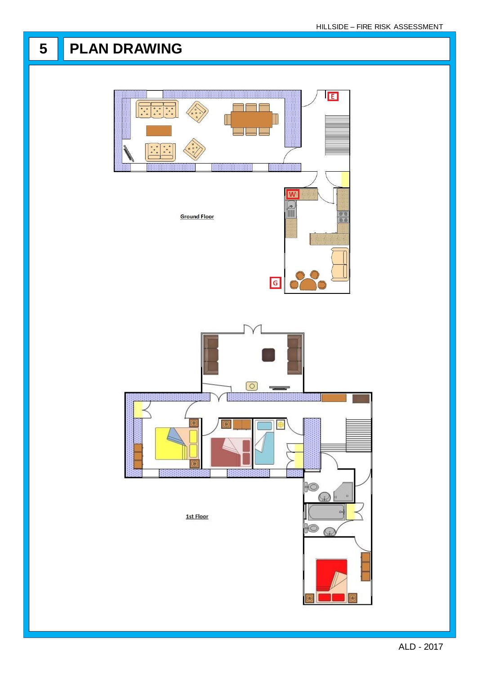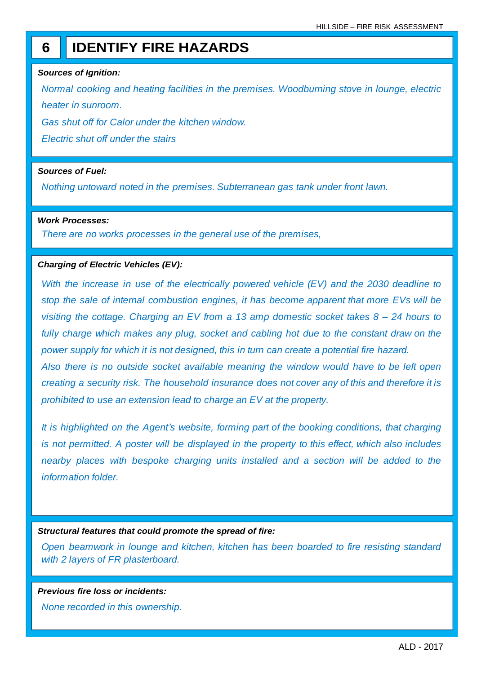### **6 IDENTIFY FIRE HAZARDS**

#### *Sources of Ignition:*

*Normal cooking and heating facilities in the premises. Woodburning stove in lounge, electric heater in sunroom.*

*Gas shut off for Calor under the kitchen window.*

*Electric shut off under the stairs*

#### *Sources of Fuel:*

*Nothing untoward noted in the premises. Subterranean gas tank under front lawn.*

#### *Work Processes:*

*There are no works processes in the general use of the premises,* 

#### *Charging of Electric Vehicles (EV):*

*With the increase in use of the electrically powered vehicle (EV) and the 2030 deadline to stop the sale of internal combustion engines, it has become apparent that more EVs will be visiting the cottage. Charging an EV from a 13 amp domestic socket takes 8 – 24 hours to*  fully charge which makes any plug, socket and cabling hot due to the constant draw on the *power supply for which it is not designed, this in turn can create a potential fire hazard. Also there is no outside socket available meaning the window would have to be left open creating a security risk. The household insurance does not cover any of this and therefore it is prohibited to use an extension lead to charge an EV at the property.*

*It is highlighted on the Agent's website, forming part of the booking conditions, that charging is not permitted. A poster will be displayed in the property to this effect, which also includes nearby places with bespoke charging units installed and a section will be added to the information folder.*

### *Structural features that could promote the spread of fire:*

*Open beamwork in lounge and kitchen, kitchen has been boarded to fire resisting standard with 2 layers of FR plasterboard.*

#### *Previous fire loss or incidents:*

*None recorded in this ownership.*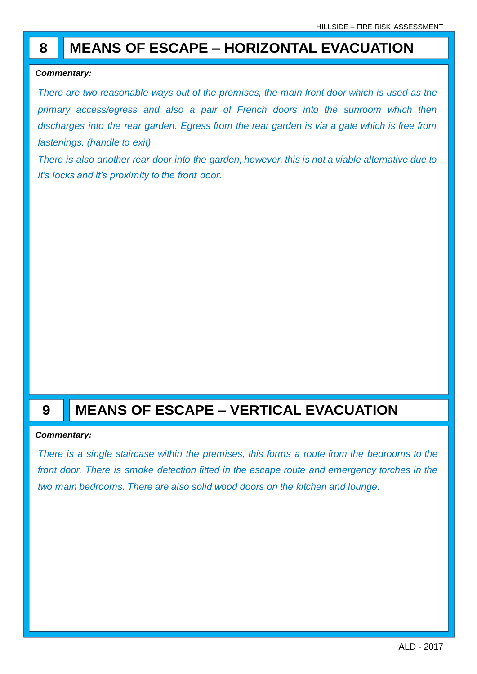### **8 MEANS OF ESCAPE – HORIZONTAL EVACUATION**

#### *Commentary:*

*There are two reasonable ways out of the premises, the main front door which is used as the primary access/egress and also a pair of French doors into the sunroom which then discharges into the rear garden. Egress from the rear garden is via a gate which is free from fastenings. (handle to exit)* 

*There is also another rear door into the garden, however, this is not a viable alternative due to it's locks and it's proximity to the front door.*

#### **MEANS OF ESCAPE – VERTICAL EVACUATION 9**

#### *Commentary:*

*There is a single staircase within the premises, this forms a route from the bedrooms to the front door. There is smoke detection fitted in the escape route and emergency torches in the two main bedrooms. There are also solid wood doors on the kitchen and lounge.*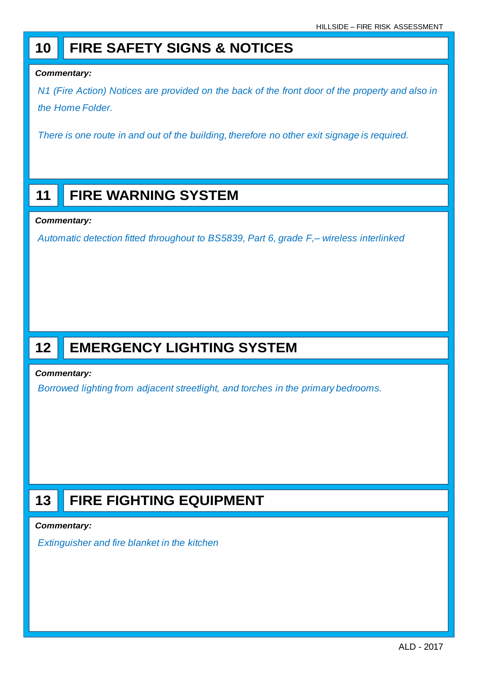### **10 FIRE SAFETY SIGNS & NOTICES**

### *Commentary:*

*N1 (Fire Action) Notices are provided on the back of the front door of the property and also in the Home Folder.*

*There is one route in and out of the building, therefore no other exit signage is required.*

### **11 FIRE WARNING SYSTEM**

#### *Commentary:*

*Automatic detection fitted throughout to BS5839, Part 6, grade F,– wireless interlinked*

### **12 EMERGENCY LIGHTING SYSTEM**

### *Commentary:*

*Borrowed lighting from adjacent streetlight, and torches in the primary bedrooms.*

### **13 FIRE FIGHTING EQUIPMENT**

### *Commentary:*

*Extinguisher and fire blanket in the kitchen*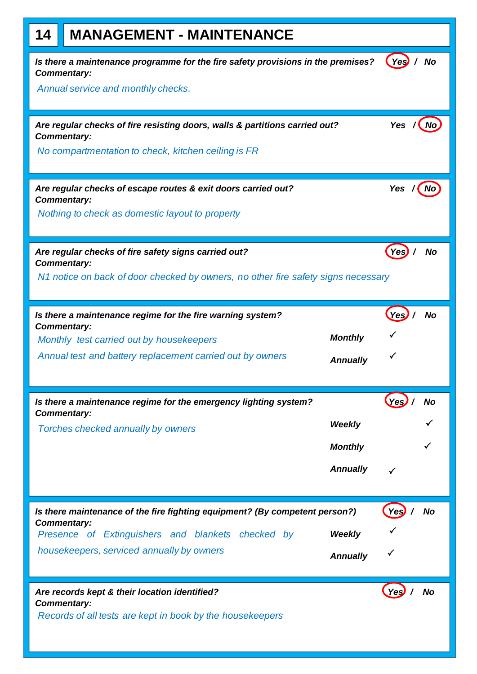| <b>MANAGEMENT - MAINTENANCE</b><br>14                                                                                                                                                                                                   |                  |  |  |
|-----------------------------------------------------------------------------------------------------------------------------------------------------------------------------------------------------------------------------------------|------------------|--|--|
| Is there a maintenance programme for the fire safety provisions in the premises?<br>Yes<br><b>No</b><br><b>Commentary:</b><br>Annual service and monthly checks.                                                                        |                  |  |  |
| Are regular checks of fire resisting doors, walls & partitions carried out?<br><b>Yes</b><br><b>Commentary:</b><br>No compartmentation to check, kitchen ceiling is FR                                                                  |                  |  |  |
| Are regular checks of escape routes & exit doors carried out?<br>Yes<br><b>Commentary:</b><br>Nothing to check as domestic layout to property                                                                                           |                  |  |  |
| Are regular checks of fire safety signs carried out?<br>No<br><b>Commentary:</b><br>N1 notice on back of door checked by owners, no other fire safety signs necessary                                                                   |                  |  |  |
| Is there a maintenance regime for the fire warning system?<br><b>Commentary:</b><br><b>Monthly</b><br>Monthly test carried out by housekeepers<br>Annual test and battery replacement carried out by owners<br><b>Annually</b>          | No               |  |  |
| Is there a maintenance regime for the emergency lighting system?<br><b>Commentary:</b><br><b>Weekly</b><br>Torches checked annually by owners<br><b>Monthly</b><br><b>Annually</b>                                                      | Yes<br><b>No</b> |  |  |
| Is there maintenance of the fire fighting equipment? (By competent person?)<br><b>Commentary:</b><br><b>Weekly</b><br>Presence of Extinguishers and blankets checked by<br>housekeepers, serviced annually by owners<br><b>Annually</b> | Yes<br>No        |  |  |
| Are records kept & their location identified?<br><b>Commentary:</b><br>Records of all tests are kept in book by the housekeepers                                                                                                        | Yes<br>No        |  |  |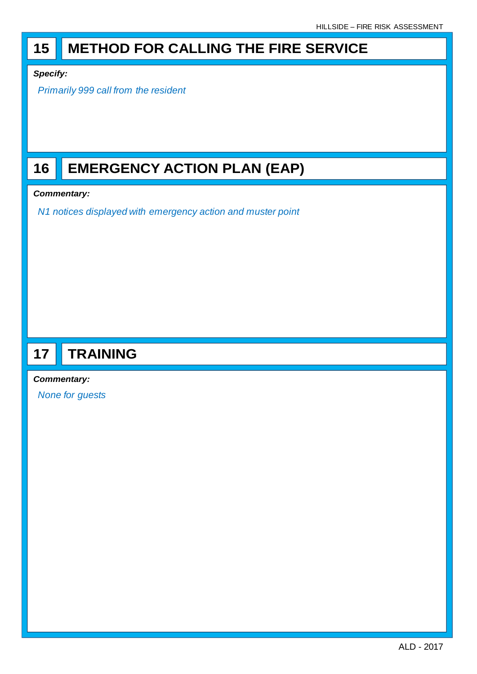### **15 METHOD FOR CALLING THE FIRE SERVICE**

### *Specify:*

*Primarily 999 call from the resident*

### **16 EMERGENCY ACTION PLAN (EAP)**

#### *Commentary:*

*N1 notices displayed with emergency action and muster point*

### **17 TRAINING**

### *Commentary:*

*None for guests*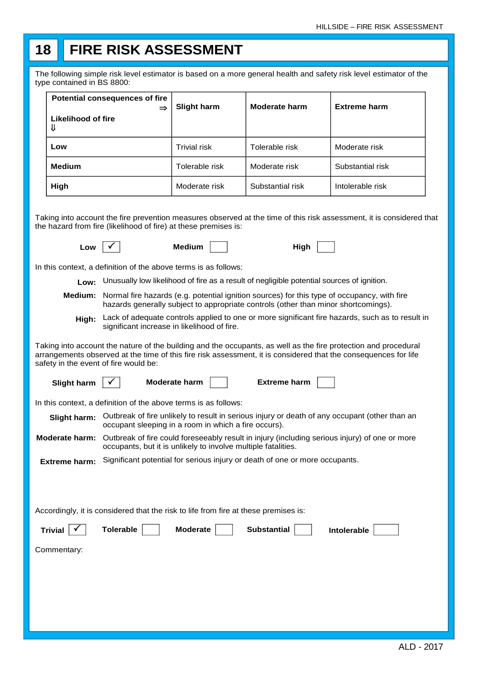### **18 FIRE RISK ASSESSMENT**

The following simple risk level estimator is based on a more general health and safety risk level estimator of the type contained in BS 8800:

| Potential consequences of fire<br>$\Rightarrow$ | <b>Slight harm</b>  | <b>Moderate harm</b> | <b>Extreme harm</b> |
|-------------------------------------------------|---------------------|----------------------|---------------------|
| Likelihood of fire<br>⇓                         |                     |                      |                     |
| Low                                             | <b>Trivial risk</b> | Tolerable risk       | Moderate risk       |
| <b>Medium</b>                                   | Tolerable risk      | Moderate risk        | Substantial risk    |
| High                                            | Moderate risk       | Substantial risk     | Intolerable risk    |

Taking into account the fire prevention measures observed at the time of this risk assessment, it is considered that the hazard from fire (likelihood of fire) at these premises is:

In this context, a definition of the above terms is as follows:

**Low:** Unusually low likelihood of fire as a result of negligible potential sources of ignition.

- **Medium:** Normal fire hazards (e.g. potential ignition sources) for this type of occupancy, with fire hazards generally subject to appropriate controls (other than minor shortcomings).
	- **High:** Lack of adequate controls applied to one or more significant fire hazards, such as to result in significant increase in likelihood of fire.

Taking into account the nature of the building and the occupants, as well as the fire protection and procedural arrangements observed at the time of this fire risk assessment, it is considered that the consequences for life safety in the event of fire would be:



 $\begin{array}{|c|c|c|}\hline \text{Low} & \checkmark \end{array} \begin{array}{|c|c|c|}\hline \text{Median} & \text{||} & \text{---} & \text{High} \end{array}$ 

In this context, a definition of the above terms is as follows:

- **Slight harm:** Outbreak of fire unlikely to result in serious injury or death of any occupant (other than an occupant sleeping in a room in which a fire occurs).
- **Moderate harm:** Outbreak of fire could foreseeably result in injury (including serious injury) of one or more occupants, but it is unlikely to involve multiple fatalities.

**Extreme harm:** Significant potential for serious injury or death of one or more occupants.

Accordingly, it is considered that the risk to life from fire at these premises is:

**Trivial Tolerable Moderate Substantial Intolerable** Commentary:  $\checkmark$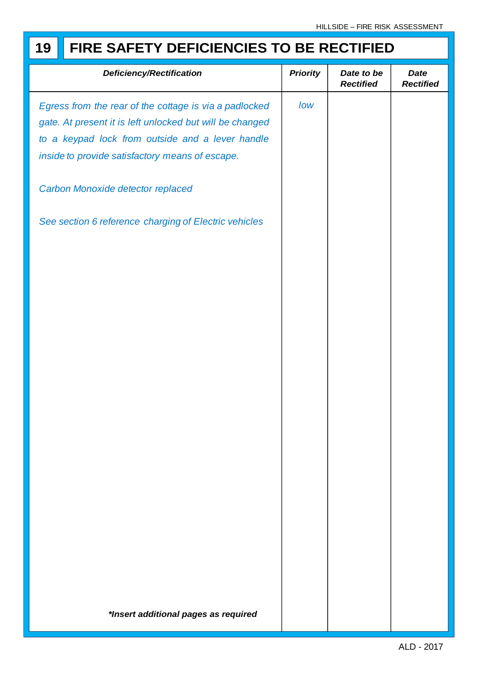### **19 FIRE SAFETY DEFICIENCIES TO BE RECTIFIED**

| Deficiency/Rectification                                                                                                                                                                                                  | <b>Priority</b> | Date to be<br><b>Rectified</b> | <b>Date</b><br><b>Rectified</b> |
|---------------------------------------------------------------------------------------------------------------------------------------------------------------------------------------------------------------------------|-----------------|--------------------------------|---------------------------------|
| Egress from the rear of the cottage is via a padlocked<br>gate. At present it is left unlocked but will be changed<br>to a keypad lock from outside and a lever handle<br>inside to provide satisfactory means of escape. | low             |                                |                                 |
| Carbon Monoxide detector replaced                                                                                                                                                                                         |                 |                                |                                 |
| See section 6 reference charging of Electric vehicles                                                                                                                                                                     |                 |                                |                                 |
| *Insert additional pages as required                                                                                                                                                                                      |                 |                                |                                 |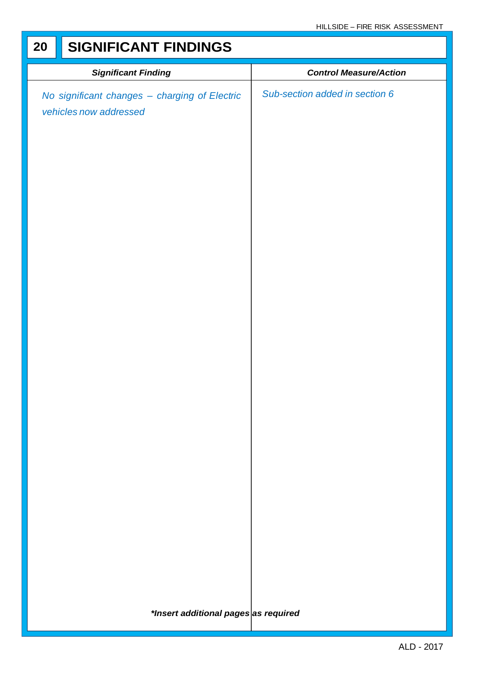| 20 | <b>SIGNIFICANT FINDINGS</b>                                             |                                |
|----|-------------------------------------------------------------------------|--------------------------------|
|    | <b>Significant Finding</b>                                              | <b>Control Measure/Action</b>  |
|    | No significant changes - charging of Electric<br>vehicles now addressed | Sub-section added in section 6 |
|    |                                                                         |                                |
|    | *Insert additional pages as required                                    |                                |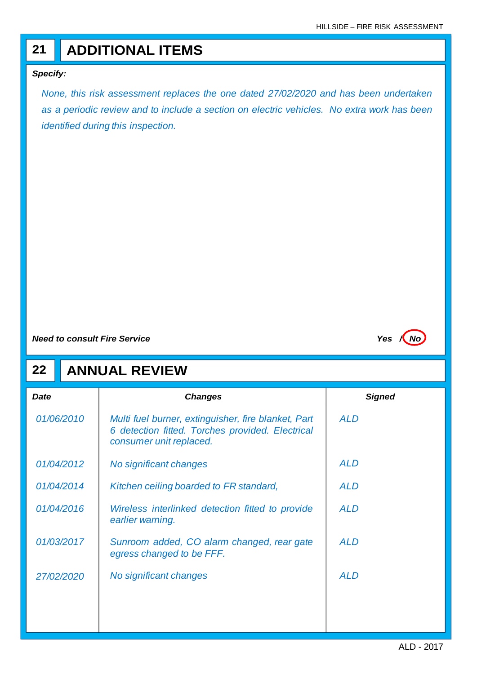### **21 ADDITIONAL ITEMS**

#### *Specify:*

*None, this risk assessment replaces the one dated 27/02/2020 and has been undertaken as a periodic review and to include a section on electric vehicles. No extra work has been identified during this inspection.*

*Need to consult Fire Service Yes / No*

### **22 ANNUAL REVIEW** *Date Changes Signed 01/06/2010 01/04/2012 01/04/2014 01/04/2016 01/03/2017 27/02/2020 Multi fuel burner, extinguisher, fire blanket, Part 6 detection fitted. Torches provided. Electrical consumer unit replaced. No significant changes Kitchen ceiling boarded to FR standard, Wireless interlinked detection fitted to provide earlier warning. Sunroom added, CO alarm changed, rear gate egress changed to be FFF. No significant changes ALD ALD ALD ALD ALD ALD*